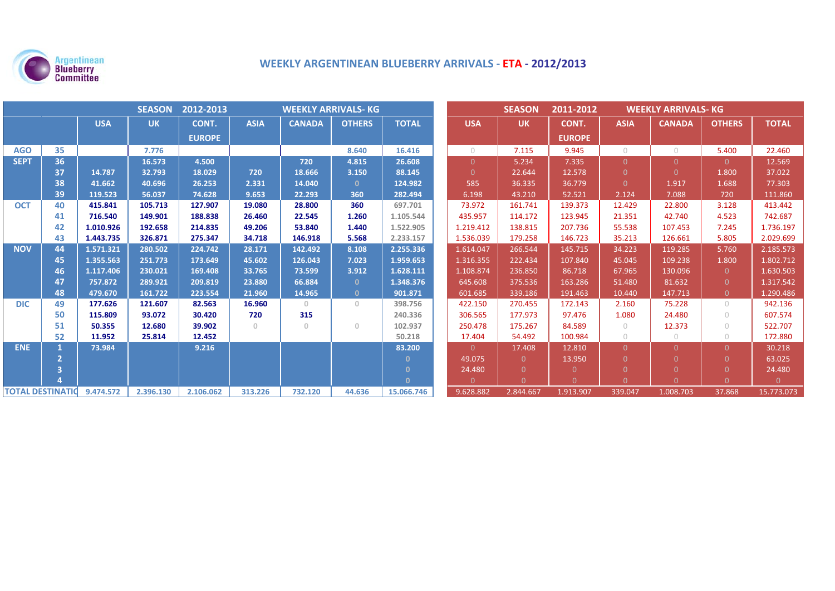

# **WEEKLY ARGENTINEAN BLUEBERRY ARRIVALS ‐ ETA ‐ 2012/2013**

| <b>SEASON</b><br>2012-2013<br><b>WEEKLY ARRIVALS- KG</b> |    |            |           |               |             |               |               |              | <b>SEASON</b> | 2011-2012 | <b>WEEKLY ARRIVALS- KG</b> |             |               |                                  |              |
|----------------------------------------------------------|----|------------|-----------|---------------|-------------|---------------|---------------|--------------|---------------|-----------|----------------------------|-------------|---------------|----------------------------------|--------------|
|                                                          |    | <b>USA</b> | <b>UK</b> | CONT.         | <b>ASIA</b> | <b>CANADA</b> | <b>OTHERS</b> | <b>TOTAL</b> | <b>USA</b>    | <b>UK</b> | CONT.                      | <b>ASIA</b> | <b>CANADA</b> | <b>OTHERS</b>                    | <b>TOTAL</b> |
|                                                          |    |            |           | <b>EUROPE</b> |             |               |               |              |               |           | <b>EUROPE</b>              |             |               |                                  |              |
| <b>AGO</b>                                               | 35 |            | 7.776     |               |             |               | 8.640         | 16.416       | $\bigcirc$    | 7.115     | 9.945                      | $\bigcirc$  | $\circ$       | 5.400                            | 22.460       |
| <b>SEPT</b>                                              | 36 |            | 16.573    | 4.500         |             | 720           | 4.815         | 26.608       | $\Omega$      | 5.234     | 7.335                      | $\Omega$    | $\Omega$      | $\Omega$                         | 12.569       |
|                                                          | 37 | 14.787     | 32.793    | 18.029        | 720         | 18.666        | 3.150         | 88.145       | $\Omega$      | 22.644    | 12.578                     | $\Omega$    | $\Omega$      | 1.800                            | 37.022       |
|                                                          | 38 | 41.662     | 40.696    | 26.253        | 2.331       | 14.040        | $\mathbf{0}$  | 124.982      | 585           | 36.335    | 36.779                     | $\Omega$    | 1.917         | 1.688                            | 77.303       |
|                                                          | 39 | 119.523    | 56.037    | 74.628        | 9.653       | 22.293        | 360           | 282.494      | 6.198         | 43.210    | 52.521                     | 2.124       | 7.088         | 720                              | 111.860      |
| <b>OCT</b>                                               | 40 | 415.841    | 105.713   | 127.907       | 19.080      | 28.800        | 360           | 697.701      | 73.972        | 161.741   | 139.373                    | 12.429      | 22.800        | 3.128                            | 413.442      |
|                                                          | 41 | 716.540    | 149.901   | 188.838       | 26.460      | 22.545        | 1.260         | 1.105.544    | 435.957       | 114.172   | 123.945                    | 21.351      | 42.740        | 4.523                            | 742.687      |
|                                                          | 42 | 1.010.926  | 192.658   | 214.835       | 49.206      | 53.840        | 1.440         | 1.522.905    | 1.219.412     | 138.815   | 207.736                    | 55.538      | 107.453       | 7.245                            | 1.736.197    |
|                                                          | 43 | 1.443.735  | 326.871   | 275.347       | 34.718      | 146.918       | 5.568         | 2.233.157    | 1.536.039     | 179.258   | 146.723                    | 35.213      | 126.661       | 5.805                            | 2.029.699    |
| <b>NOV</b>                                               | 44 | 1.571.321  | 280.502   | 224.742       | 28.171      | 142.492       | 8.108         | 2.255.336    | 1.614.047     | 266.544   | 145.715                    | 34.223      | 119.285       | 5.760                            | 2.185.573    |
|                                                          | 45 | 1.355.563  | 251.773   | 173.649       | 45.602      | 126.043       | 7.023         | 1.959.653    | 1.316.355     | 222.434   | 107.840                    | 45.045      | 109.238       | 1.800                            | 1.802.712    |
|                                                          | 46 | 1.117.406  | 230.021   | 169.408       | 33.765      | 73.599        | 3.912         | 1.628.111    | 1.108.874     | 236.850   | 86.718                     | 67.965      | 130.096       | $\Omega$                         | 1.630.503    |
|                                                          | 47 | 757.872    | 289.921   | 209.819       | 23.880      | 66.884        | $\mathbf{0}$  | 1.348.376    | 645.608       | 375.536   | 163.286                    | 51.480      | 81.632        | $\Omega$                         | 1.317.542    |
|                                                          | 48 | 479.670    | 161.722   | 223.554       | 21.960      | 14.965        | $\mathbf{0}$  | 901.871      | 601.685       | 339.186   | 191.463                    | 10.440      | 147.713       | $\overline{0}$                   | 1.290.486    |
| <b>DIC</b>                                               | 49 | 177.626    | 121.607   | 82.563        | 16.960      | $\circ$       | $\circ$       | 398.756      | 422.150       | 270.455   | 172.143                    | 2.160       | 75.228        | $\bigcirc$                       | 942.136      |
|                                                          | 50 | 115.809    | 93.072    | 30.420        | 720         | 315           |               | 240.336      | 306.565       | 177.973   | 97.476                     | 1.080       | 24.480        | $\bigcirc$                       | 607.574      |
|                                                          | 51 | 50.355     | 12.680    | 39.902        | $\circ$     | $\mathbf{0}$  | $\cup$        | 102.937      | 250.478       | 175.267   | 84.589                     | $\bigcirc$  | 12.373        | $\begin{array}{c} \n\end{array}$ | 522.707      |
|                                                          | 52 | 11.952     | 25.814    | 12.452        |             |               |               | 50.218       | 17.404        | 54.492    | 100.984                    | $\bigcirc$  | $\circ$       | $\bigcirc$                       | 172.880      |
| <b>ENE</b>                                               |    | 73.984     |           | 9.216         |             |               |               | 83.200       | $\Omega$      | 17.408    | 12.810                     | $\Omega$    | $\Omega$      | $\Omega$                         | 30.218       |
|                                                          |    |            |           |               |             |               |               | n            | 49.075        | $\Omega$  | 13.950                     | $\Omega$    | $\Omega$      | $\Omega$                         | 63.025       |
|                                                          |    |            |           |               |             |               |               | $\Omega$     | 24.480        | $\Omega$  | $\Omega$                   |             | $\Omega$      | $\Omega$                         | 24.480       |
|                                                          |    |            |           |               |             |               |               | $\Omega$     | $\Omega$      | $\Omega$  |                            | $\Omega$    | $\Omega$      | $\Omega$                         | $\Omega$     |
| <b>TOTAL DESTINATIO</b>                                  |    | 9.474.572  | 2.396.130 | 2.106.062     | 313.226     | 732.120       | 44.636        | 15.066.746   | 9.628.882     | 2.844.667 | 1.913.907                  | 339.047     | 1.008.703     | 37.868                           | 15.773.073   |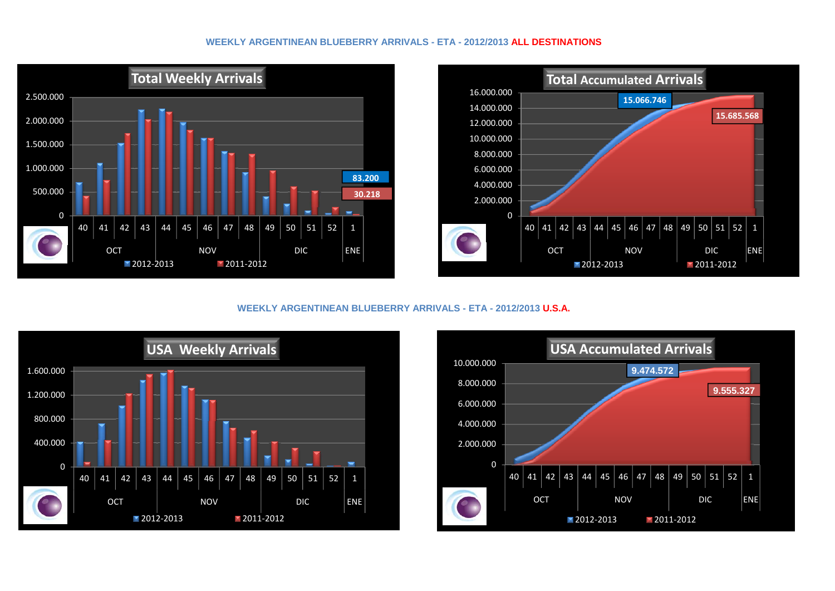### **WEEKLY ARGENTINEAN BLUEBERRY ARRIVALS - ETA - 2012/2013 ALL DESTINATIONS**





#### **WEEKLY ARGENTINEAN BLUEBERRY ARRIVALS - ETA - 2012/2013 U.S.A.**



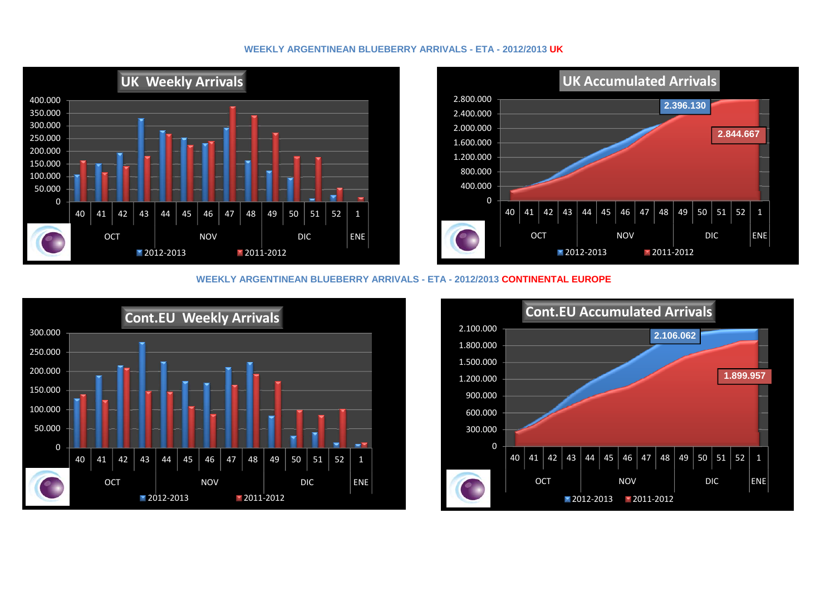# **WEEKLY ARGENTINEAN BLUEBERRY ARRIVALS - ETA - 2012/2013 UK**





## **WEEKLY ARGENTINEAN BLUEBERRY ARRIVALS - ETA - 2012/2013 CONTINENTAL EUROPE**